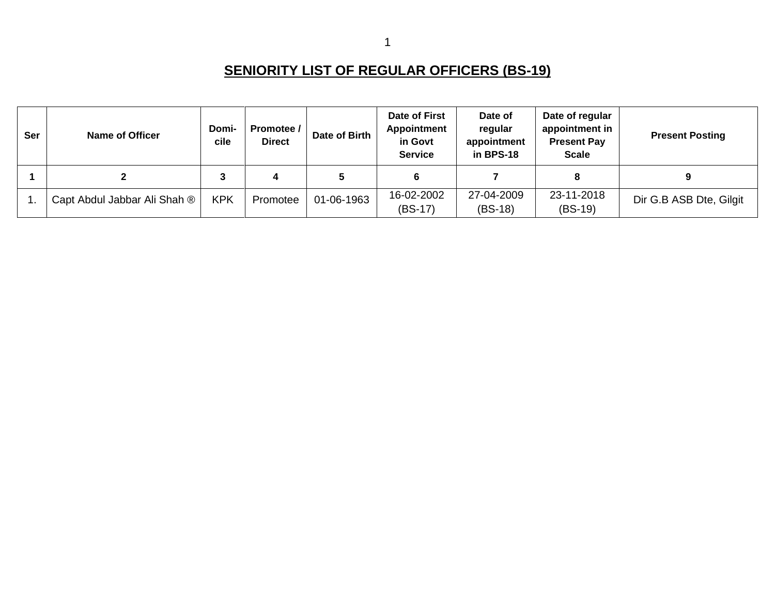## **SENIORITY LIST OF REGULAR OFFICERS (BS-19)**

| <b>Ser</b> | <b>Name of Officer</b>       | Domi-<br>cile | Promotee /<br><b>Direct</b> | Date of Birth | Date of First<br><b>Appointment</b><br>in Govt<br><b>Service</b> | Date of<br>regular<br>appointment<br>in BPS-18 | Date of regular<br>appointment in<br><b>Present Pay</b><br><b>Scale</b> | <b>Present Posting</b>  |
|------------|------------------------------|---------------|-----------------------------|---------------|------------------------------------------------------------------|------------------------------------------------|-------------------------------------------------------------------------|-------------------------|
|            | າ                            | 3             |                             | 5             |                                                                  |                                                |                                                                         | 9                       |
|            | Capt Abdul Jabbar Ali Shah ® | <b>KPK</b>    | Promotee                    | 01-06-1963    | 16-02-2002<br>$(BS-17)$                                          | 27-04-2009<br>$(BS-18)$                        | 23-11-2018<br>$(BS-19)$                                                 | Dir G.B ASB Dte, Gilgit |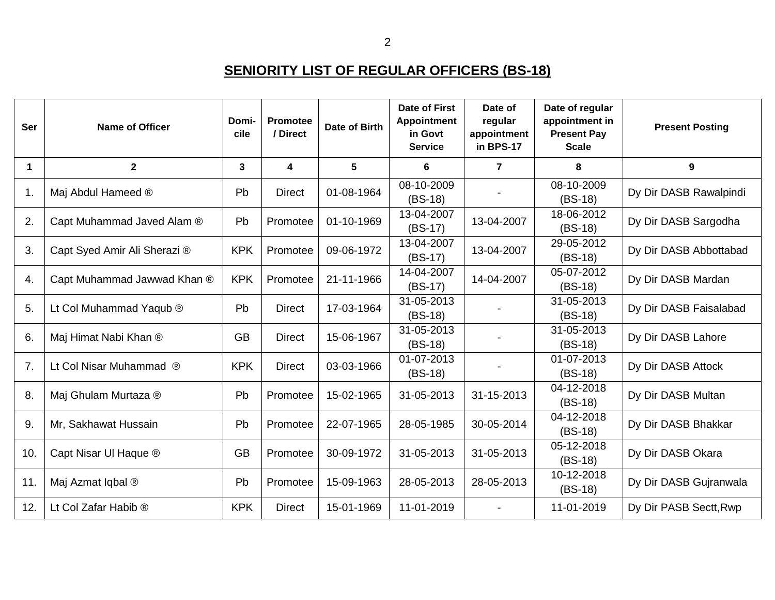## **SENIORITY LIST OF REGULAR OFFICERS (BS-18)**

| Ser | <b>Name of Officer</b>       | Domi-<br>cile | <b>Promotee</b><br>/ Direct | Date of Birth | <b>Date of First</b><br><b>Appointment</b><br>in Govt<br><b>Service</b> | Date of<br>regular<br>appointment<br>in BPS-17 | Date of regular<br>appointment in<br><b>Present Pay</b><br><b>Scale</b> | <b>Present Posting</b> |
|-----|------------------------------|---------------|-----------------------------|---------------|-------------------------------------------------------------------------|------------------------------------------------|-------------------------------------------------------------------------|------------------------|
| 1   | $\mathbf{2}$                 | 3             | 4                           | 5             | $6\phantom{1}$                                                          | $\overline{7}$                                 | 8                                                                       | 9                      |
| 1.  | Maj Abdul Hameed ®           | Pb            | <b>Direct</b>               | 01-08-1964    | 08-10-2009<br>$(BS-18)$                                                 |                                                | 08-10-2009<br>$(BS-18)$                                                 | Dy Dir DASB Rawalpindi |
| 2.  | Capt Muhammad Javed Alam ®   | Pb            | Promotee                    | 01-10-1969    | 13-04-2007<br>$(BS-17)$                                                 | 13-04-2007                                     | 18-06-2012<br>$(BS-18)$                                                 | Dy Dir DASB Sargodha   |
| 3.  | Capt Syed Amir Ali Sherazi ® | <b>KPK</b>    | Promotee                    | 09-06-1972    | 13-04-2007<br>$(BS-17)$                                                 | 13-04-2007                                     | 29-05-2012<br>$(BS-18)$                                                 | Dy Dir DASB Abbottabad |
| 4.  | Capt Muhammad Jawwad Khan ®  | <b>KPK</b>    | Promotee                    | 21-11-1966    | 14-04-2007<br>$(BS-17)$                                                 | 14-04-2007                                     | 05-07-2012<br>$(BS-18)$                                                 | Dy Dir DASB Mardan     |
| 5.  | Lt Col Muhammad Yaqub ®      | Pb            | <b>Direct</b>               | 17-03-1964    | 31-05-2013<br>$(BS-18)$                                                 |                                                | 31-05-2013<br>$(BS-18)$                                                 | Dy Dir DASB Faisalabad |
| 6.  | Maj Himat Nabi Khan ®        | <b>GB</b>     | <b>Direct</b>               | 15-06-1967    | 31-05-2013<br>$(BS-18)$                                                 |                                                | 31-05-2013<br>$(BS-18)$                                                 | Dy Dir DASB Lahore     |
| 7.  | Lt Col Nisar Muhammad ®      | <b>KPK</b>    | <b>Direct</b>               | 03-03-1966    | 01-07-2013<br>$(BS-18)$                                                 |                                                | 01-07-2013<br>$(BS-18)$                                                 | Dy Dir DASB Attock     |
| 8.  | Maj Ghulam Murtaza ®         | Pb            | Promotee                    | 15-02-1965    | 31-05-2013                                                              | 31-15-2013                                     | 04-12-2018<br>$(BS-18)$                                                 | Dy Dir DASB Multan     |
| 9.  | Mr, Sakhawat Hussain         | Pb            | Promotee                    | 22-07-1965    | 28-05-1985                                                              | 30-05-2014                                     | 04-12-2018<br>$(BS-18)$                                                 | Dy Dir DASB Bhakkar    |
| 10. | Capt Nisar UI Haque ®        | <b>GB</b>     | Promotee                    | 30-09-1972    | 31-05-2013                                                              | 31-05-2013                                     | 05-12-2018<br>$(BS-18)$                                                 | Dy Dir DASB Okara      |
| 11. | Maj Azmat Iqbal ®            | Pb            | Promotee                    | 15-09-1963    | 28-05-2013                                                              | 28-05-2013                                     | 10-12-2018<br>$(BS-18)$                                                 | Dy Dir DASB Gujranwala |
| 12. | Lt Col Zafar Habib ®         | <b>KPK</b>    | <b>Direct</b>               | 15-01-1969    | 11-01-2019                                                              |                                                | 11-01-2019                                                              | Dy Dir PASB Sectt, Rwp |